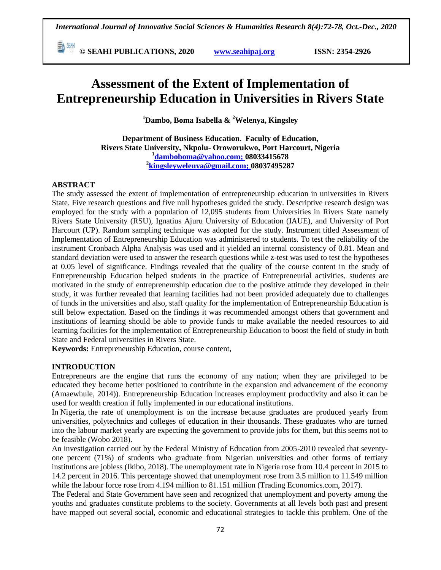**© SEAHI PUBLICATIONS, 2020 [www.seahipaj.org](http://www.seahipaj.org/) ISSN: 2354-2926** 

# **Assessment of the Extent of Implementation of Entrepreneurship Education in Universities in Rivers State**

**<sup>1</sup>Dambo, Boma Isabella & <sup>2</sup>Welenya, Kingsley**

**Department of Business Education. Faculty of Education, Rivers State University, Nkpolu- Oroworukwo, Port Harcourt, Nigeria 1 [damboboma@yahoo.com;](mailto:damboboma@yahoo.com) 08033415678 2 [kingsleywelenya@gmail.com;](mailto:kingsleywelenya@gmail.com) 08037495287**

### **ABSTRACT**

The study assessed the extent of implementation of entrepreneurship education in universities in Rivers State. Five research questions and five null hypotheses guided the study. Descriptive research design was employed for the study with a population of 12,095 students from Universities in Rivers State namely Rivers State University (RSU), Ignatius Ajuru University of Education (IAUE), and University of Port Harcourt (UP). Random sampling technique was adopted for the study. Instrument titled Assessment of Implementation of Entrepreneurship Education was administered to students. To test the reliability of the instrument Cronbach Alpha Analysis was used and it yielded an internal consistency of 0.81. Mean and standard deviation were used to answer the research questions while z-test was used to test the hypotheses at 0.05 level of significance. Findings revealed that the quality of the course content in the study of Entrepreneurship Education helped students in the practice of Entrepreneurial activities, students are motivated in the study of entrepreneurship education due to the positive attitude they developed in their study, it was further revealed that learning facilities had not been provided adequately due to challenges of funds in the universities and also, staff quality for the implementation of Entrepreneurship Education is still below expectation. Based on the findings it was recommended amongst others that government and institutions of learning should be able to provide funds to make available the needed resources to aid learning facilities for the implementation of Entrepreneurship Education to boost the field of study in both State and Federal universities in Rivers State.

**Keywords:** Entrepreneurship Education, course content,

### **INTRODUCTION**

Entrepreneurs are the engine that runs the economy of any nation; when they are privileged to be educated they become better positioned to contribute in the expansion and advancement of the economy (Amaewhule, 2014)). Entrepreneurship Education increases employment productivity and also it can be used for wealth creation if fully implemented in our educational institutions.

In Nigeria, the rate of unemployment is on the increase because graduates are produced yearly from universities, polytechnics and colleges of education in their thousands. These graduates who are turned into the labour market yearly are expecting the government to provide jobs for them, but this seems not to be feasible (Wobo 2018).

An investigation carried out by the Federal Ministry of Education from 2005-2010 revealed that seventyone percent (71%) of students who graduate from Nigerian universities and other forms of tertiary institutions are jobless (Ikibo, 2018). The unemployment rate in Nigeria rose from 10.4 percent in 2015 to 14.2 percent in 2016. This percentage showed that unemployment rose from 3.5 million to 11.549 million while the labour force rose from 4.194 million to 81.151 million (Trading Economics.com, 2017).

The Federal and State Government have seen and recognized that unemployment and poverty among the youths and graduates constitute problems to the society. Governments at all levels both past and present have mapped out several social, economic and educational strategies to tackle this problem. One of the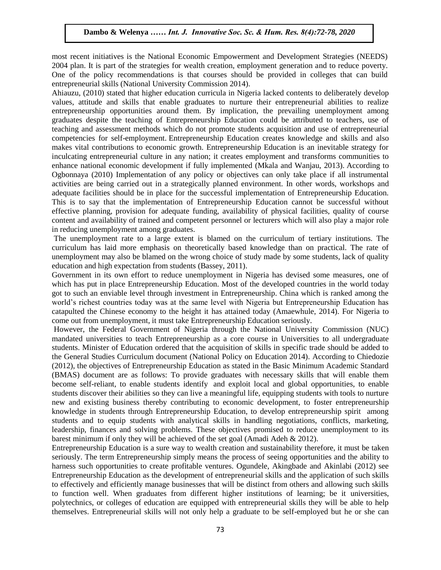most recent initiatives is the National Economic Empowerment and Development Strategies (NEEDS) nost recent initiatives is the inational economic empowerment and Development strategies (NEEDS)<br>2004 plan. It is part of the strategies for wealth creation, employment generation and to reduce poverty. One of the policy recommendations is that courses should be provided in colleges that can build entrepreneurial skills (National University Commission 2014).

Ahiauzu, (2010) stated that higher education curricula in Nigeria lacked contents to deliberately develop Amauzu, (2010) stated that inglier education curricula in Nigeria facked contents to defiberately develop<br>values, attitude and skills that enable graduates to nurture their entrepreneurial abilities to realize entrepreneurship opportunities around them. By implication, the prevailing unemployment among graduates despite the teaching of Entrepreneurship Education could be attributed to teachers, use of teaching and assessment methods which do not promote students acquisition and use of entrepreneurial calling and assessment methods which do not promote students acquisition and use of entrepreneurial competencies for self-employment. Entrepreneurship Education creates knowledge and skills and also makes vital contributions to economic growth. Entrepreneurship Education is an inevitable strategy for inculcating entrepreneurial culture in any nation; it creates employment and transforms communities to enhance national economic development if fully implemented (Mkala and Wanjau, 2013). According to Emiance national economic development if fully implemented (wixata and wanjad, 2013). According to<br>Ogbonnaya (2010) Implementation of any policy or objectives can only take place if all instrumental activities are being carried out in a strategically planned environment. In other words, workshops and adequate facilities should be in place for the successful implementation of Entrepreneurship Education. This is to say that the implementation of Entrepreneurship Education cannot be successful without This is to say that the implementation of Entrepreneurship Education cannot be successful without effective planning, provision for adequate funding, availability of physical facilities, quality of course content and availability of trained and competent personnel or lecturers which will also play a major role in reducing unemployment among graduates.

The unemployment rate to a large extent is blamed on the curriculum of tertiary institutions. The riculum has laid more emphasis on theoretically based knowledge than on practical. The rate of curriculum has laid more emphasis on theoretically based knowledge than on practical. The rate of unemployment may also be blamed on the wrong choice of study made by some students, lack of quality education and high expectation from students (Bassey, 2011).

Government in its own effort to reduce unemployment in Nigeria has devised some measures, one of which has put in place Entrepreneurship Education. Most of the developed countries in the world today which has put in place Entrepreneurship Education. Most of the developed countries in the world today got to such an enviable level through investment in Entrepreneurship. China which is ranked among the world's richest countries today was at the same level with Nigeria but Entrepreneurship Education has catapulted the Chinese economy to the height it has attained today (Amaewhule, 2014). For Nigeria to come out from unemployment, it must take Entrepreneurship Education seriously.

However, the Federal Government of Nigeria through the National University Commission (NUC) mandated universities to teach Entrepreneurship as a core course in Universities to all undergraduate students. Minister of Education ordered that the acquisition of skills in specific trade should be added to the General Studies Curriculum document (National Policy on Education 2014). According to Chiedozie (2012), the objectives of Entrepreneurship Education as stated in the Basic Minimum Academic Standard (BMAS) document are as follows: To provide graduates with necessary skills that will enable them become self-reliant, to enable students identify and exploit local and global opportunities, to enable students discover their abilities so they can live a meaningful life, equipping students with tools to nurture new and existing business thereby contributing to economic development, to foster entrepreneurship knowledge in students through Entrepreneurship Education, to develop entrepreneurship spirit among students and to equip students with analytical skills in handling negotiations, conflicts, marketing, leadership, finances and solving problems. These objectives promised to reduce unemployment to its barest minimum if only they will be achieved of the set goal (Amadi Adeh & 2012).

Entrepreneurship Education is a sure way to wealth creation and sustainability therefore, it must be taken seriously. The term Entrepreneurship simply means the process of seeing opportunities and the ability to harness such opportunities to create profitable ventures. Ogundele, Akingbade and Akinlabi (2012) see Entrepreneurship Education as the development of entrepreneurial skills and the application of such skills to effectively and efficiently manage businesses that will be distinct from others and allowing such skills to function well. When graduates from different higher institutions of learning; be it universities, polytechnics, or colleges of education are equipped with entrepreneurial skills they will be able to help themselves. Entrepreneurial skills will not only help a graduate to be self-employed but he or she can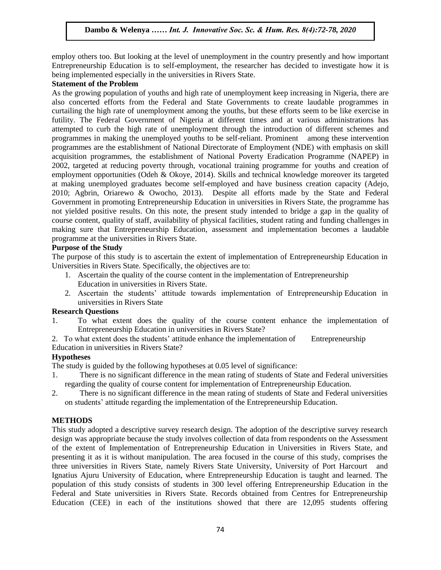employ others too. But looking at the level of unemployment in the country presently and how important Entrepreneurship Education is to self-employment, the researcher has decided to investigate how it is being implemented especially in the universities in Rivers State.

# **Statement of the Problem**

As the growing population of youths and high rate of unemployment keep increasing in Nigeria, there are also concerted efforts from the Federal and State Governments to create laudable programmes in curtailing the high rate of unemployment among the youths, but these efforts seem to be like exercise in futility. The Federal Government of Nigeria at different times and at various administrations has attempted to curb the high rate of unemployment through the introduction of different schemes and programmes in making the unemployed youths to be self-reliant. Prominent among these intervention programmes are the establishment of National Directorate of Employment (NDE) with emphasis on skill acquisition programmes, the establishment of National Poverty Eradication Programme (NAPEP) in 2002, targeted at reducing poverty through, vocational training programme for youths and creation of employment opportunities (Odeh & Okoye, 2014). Skills and technical knowledge moreover its targeted at making unemployed graduates become self-employed and have business creation capacity (Adejo, 2010; Agbrin, Oriarewo & Owocho, 2013). Despite all efforts made by the State and Federal Government in promoting Entrepreneurship Education in universities in Rivers State, the programme has not yielded positive results. On this note, the present study intended to bridge a gap in the quality of course content, quality of staff, availability of physical facilities, student rating and funding challenges in making sure that Entrepreneurship Education, assessment and implementation becomes a laudable programme at the universities in Rivers State.

### **Purpose of the Study**

The purpose of this study is to ascertain the extent of implementation of Entrepreneurship Education in Universities in Rivers State. Specifically, the objectives are to:

- 1. Ascertain the quality of the course content in the implementation of Entrepreneurship Education in universities in Rivers State.
- 2. Ascertain the students' attitude towards implementation of Entrepreneurship Education in universities in Rivers State

### **Research Questions**

1. To what extent does the quality of the course content enhance the implementation of Entrepreneurship Education in universities in Rivers State?

2. To what extent does the students' attitude enhance the implementation of Entrepreneurship Education in universities in Rivers State?

# **Hypotheses**

The study is guided by the following hypotheses at 0.05 level of significance:

- 1. There is no significant difference in the mean rating of students of State and Federal universities regarding the quality of course content for implementation of Entrepreneurship Education.
- 2. There is no significant difference in the mean rating of students of State and Federal universities on students' attitude regarding the implementation of the Entrepreneurship Education.

# **METHODS**

This study adopted a descriptive survey research design. The adoption of the descriptive survey research design was appropriate because the study involves collection of data from respondents on the Assessment of the extent of Implementation of Entrepreneurship Education in Universities in Rivers State, and presenting it as it is without manipulation. The area focused in the course of this study, comprises the three universities in Rivers State, namely Rivers State University, University of Port Harcourt and Ignatius Ajuru University of Education, where Entrepreneurship Education is taught and learned. The population of this study consists of students in 300 level offering Entrepreneurship Education in the Federal and State universities in Rivers State. Records obtained from Centres for Entrepreneurship Education (CEE) in each of the institutions showed that there are 12,095 students offering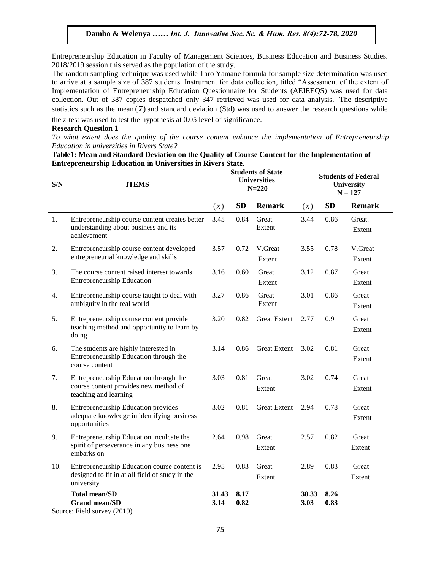Entrepreneurship Education in Faculty of Management Sciences, Business Education and Business Studies. 2018/2019 session this served as the population of the study.

The random sampling technique was used while Taro Yamane formula for sample size determination was used to arrive at a sample size of 387 students. Instrument for data collection, titled "Assessment of the extent of Implementation of Entrepreneurship Education Questionnaire for Students (AEIEEQS) was used for data collection. Out of 387 copies despatched only 347 retrieved was used for data analysis. The descriptive statistics such as the mean  $(\bar{x})$  and standard deviation (Std) was used to answer the research questions while the z-test was used to test the hypothesis at 0.05 level of significance.

#### **Research Question 1**

To what extent does the quality of the course content enhance the implementation of Entrepreneurship *Education in universities in Rivers State?*

| Table1: Mean and Standard Deviation on the Quality of Course Content for the Implementation of |  |  |  |
|------------------------------------------------------------------------------------------------|--|--|--|
| <b>Entrepreneurship Education in Universities in Rivers State.</b>                             |  |  |  |

| S/N | <b>ITEMS</b>                                                                                                  |               | <b>Students of State</b><br><b>Universities</b><br>$N = 220$ |                     |                          | <b>Students of Federal</b><br><b>University</b><br>$N = 127$ |                   |  |
|-----|---------------------------------------------------------------------------------------------------------------|---------------|--------------------------------------------------------------|---------------------|--------------------------|--------------------------------------------------------------|-------------------|--|
|     |                                                                                                               |               | <b>SD</b><br><b>Remark</b>                                   |                     | <b>SD</b><br>$(\bar{x})$ |                                                              | <b>Remark</b>     |  |
| 1.  | Entrepreneurship course content creates better<br>understanding about business and its<br>achievement         | 3.45          | 0.84                                                         | Great<br>Extent     | 3.44                     | 0.86                                                         | Great.<br>Extent  |  |
| 2.  | Entrepreneurship course content developed<br>entrepreneurial knowledge and skills                             | 3.57          | 0.72                                                         | V.Great<br>Extent   | 3.55                     | 0.78                                                         | V.Great<br>Extent |  |
| 3.  | The course content raised interest towards<br><b>Entrepreneurship Education</b>                               | 3.16          | 0.60                                                         | Great<br>Extent     | 3.12                     | 0.87                                                         | Great<br>Extent   |  |
| 4.  | Entrepreneurship course taught to deal with<br>ambiguity in the real world                                    | 3.27          | 0.86                                                         | Great<br>Extent     | 3.01                     | 0.86                                                         | Great<br>Extent   |  |
| 5.  | Entrepreneurship course content provide<br>teaching method and opportunity to learn by<br>doing               | 3.20          | 0.82                                                         | <b>Great Extent</b> | 2.77                     | 0.91                                                         | Great<br>Extent   |  |
| 6.  | The students are highly interested in<br>Entrepreneurship Education through the<br>course content             | 3.14          | 0.86                                                         | <b>Great Extent</b> | 3.02                     | 0.81                                                         | Great<br>Extent   |  |
| 7.  | Entrepreneurship Education through the<br>course content provides new method of<br>teaching and learning      | 3.03          | 0.81                                                         | Great<br>Extent     | 3.02                     | 0.74                                                         | Great<br>Extent   |  |
| 8.  | <b>Entrepreneurship Education provides</b><br>adequate knowledge in identifying business<br>opportunities     | 3.02          | 0.81                                                         | <b>Great Extent</b> | 2.94                     | 0.78                                                         | Great<br>Extent   |  |
| 9.  | Entrepreneurship Education inculcate the<br>spirit of perseverance in any business one<br>embarks on          | 2.64          | 0.98                                                         | Great<br>Extent     | 2.57                     | 0.82                                                         | Great<br>Extent   |  |
| 10. | Entrepreneurship Education course content is<br>designed to fit in at all field of study in the<br>university | 2.95          | 0.83                                                         | Great<br>Extent     | 2.89                     | 0.83                                                         | Great<br>Extent   |  |
|     | <b>Total mean/SD</b><br><b>Grand mean/SD</b>                                                                  | 31.43<br>3.14 | 8.17<br>0.82                                                 |                     | 30.33<br>3.03            | 8.26<br>0.83                                                 |                   |  |

Source: Field survey (2019)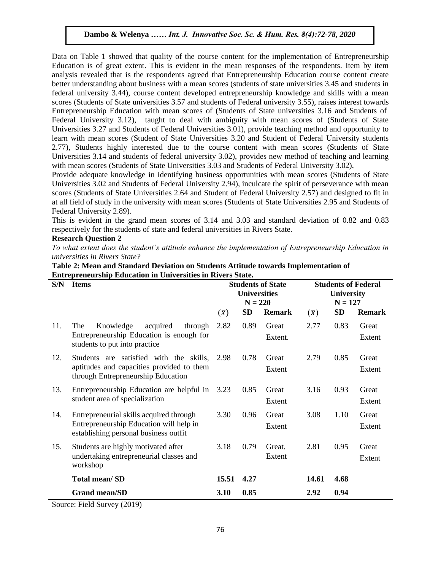Data on Table 1 showed that quality of the course content for the implementation of Entrepreneurship Education is of great extent. This is evident in the mean responses of the respondents. Item by item analysis revealed that is the respondents agreed that Entrepreneurship Education course content create better understanding about business with a mean scores (students of state universities 3.45 and students in federal university 3.44), course content developed entrepreneurship knowledge and skills with a mean scores (Students of State universities 3.57 and students of Federal university 3.55), raises interest towards Entrepreneurship Education with mean scores of (Students of State universities 3.16 and Students of Federal University 3.12), taught to deal with ambiguity with mean scores of (Students of State Universities 3.27 and Students of Federal Universities 3.01), provide teaching method and opportunity to learn with mean scores (Student of State Universities 3.20 and Student of Federal University students 2.77), Students highly interested due to the course content with mean scores (Students of State Universities 3.14 and students of federal university 3.02), provides new method of teaching and learning with mean scores (Students of State Universities 3.03 and Students of Federal University 3.02),

Provide adequate knowledge in identifying business opportunities with mean scores (Students of State Universities 3.02 and Students of Federal University 2.94), inculcate the spirit of perseverance with mean scores (Students of State Universities 2.64 and Student of Federal University 2.57) and designed to fit in at all field of study in the university with mean scores (Students of State Universities 2.95 and Students of Federal University 2.89).

This is evident in the grand mean scores of 3.14 and 3.03 and standard deviation of 0.82 and 0.83 respectively for the students of state and federal universities in Rivers State.

# **Research Question 2**

To what extent does the student's attitude enhance the implementation of Entrepreneurship Education in *universities in Rivers State?*

| S/N | <b>Items</b>                                                                                                                |             | <b>Students of State</b><br><b>Universities</b><br>$N = 220$ |                  |             | <b>Students of Federal</b><br><b>University</b><br>$N = 127$ |                 |  |
|-----|-----------------------------------------------------------------------------------------------------------------------------|-------------|--------------------------------------------------------------|------------------|-------------|--------------------------------------------------------------|-----------------|--|
|     |                                                                                                                             | $(\bar{x})$ | SD                                                           | <b>Remark</b>    | $(\bar{x})$ | <b>SD</b>                                                    | <b>Remark</b>   |  |
| 11. | Knowledge<br>acquired<br>The<br>through<br>Entrepreneurship Education is enough for<br>students to put into practice        | 2.82        | 0.89                                                         | Great<br>Extent. | 2.77        | 0.83                                                         | Great<br>Extent |  |
| 12. | Students are satisfied with the skills,<br>aptitudes and capacities provided to them<br>through Entrepreneurship Education  | 2.98        | 0.78                                                         | Great<br>Extent  | 2.79        | 0.85                                                         | Great<br>Extent |  |
| 13. | Entrepreneurship Education are helpful in<br>student area of specialization                                                 | 3.23        | 0.85                                                         | Great<br>Extent  | 3.16        | 0.93                                                         | Great<br>Extent |  |
| 14. | Entrepreneurial skills acquired through<br>Entrepreneurship Education will help in<br>establishing personal business outfit | 3.30        | 0.96                                                         | Great<br>Extent  | 3.08        | 1.10                                                         | Great<br>Extent |  |
| 15. | Students are highly motivated after<br>undertaking entrepreneurial classes and<br>workshop                                  | 3.18        | 0.79                                                         | Great.<br>Extent | 2.81        | 0.95                                                         | Great<br>Extent |  |
|     | <b>Total mean/SD</b>                                                                                                        | 15.51       | 4.27                                                         |                  | 14.61       | 4.68                                                         |                 |  |
|     | <b>Grand mean/SD</b>                                                                                                        | 3.10        | 0.85                                                         |                  | 2.92        | 0.94                                                         |                 |  |
|     | $\gamma_{\text{out}}$ Eight $\gamma_{\text{in}}$ (2010)                                                                     |             |                                                              |                  |             |                                                              |                 |  |

# **Table 2: Mean and Standard Deviation on Students Attitude towards Implementation of Entrepreneurship Education in Universities in Rivers State.**

Source: Field Survey (2019)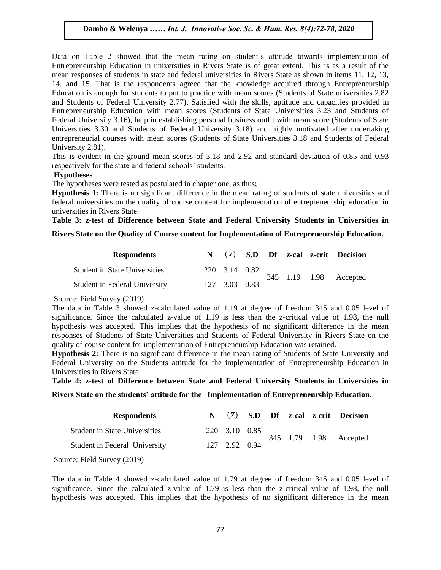Data on Table 2 showed that the mean rating on student's attitude towards implementation of Entrepreneurship Education in universities in Rivers State is of great extent. This is as a result of the mean responses of students in state and federal universities in Rivers State as shown in items 11, 12, 13, 14, and 15. That is the respondents agreed that the knowledge acquired through Entrepreneurship Education is enough for students to put to practice with mean scores (Students of State universities 2.82 and Students of Federal University 2.77), Satisfied with the skills, aptitude and capacities provided in Entrepreneurship Education with mean scores (Students of State Universities 3.23 and Students of Federal University 3.16), help in establishing personal business outfit with mean score (Students of State Universities 3.30 and Students of Federal University 3.18) and highly motivated after undertaking entrepreneurial courses with mean scores (Students of State Universities 3.18 and Students of Federal University 2.81).

This is evident in the ground mean scores of 3.18 and 2.92 and standard deviation of 0.85 and 0.93 respectively for the state and federal schools' students.

# **Hypotheses**

The hypotheses were tested as postulated in chapter one, as thus;

**Hypothesis 1:** There is no significant difference in the mean rating of students of state universities and federal universities on the quality of course content for implementation of entrepreneurship education in universities in Rivers State.

**Table 3: z-test of Difference between State and Federal University Students in Universities in** 

#### **Rivers State on the Quality of Course content for Implementation of Entrepreneurship Education.**  $\mathcal{L}_{\text{max}}$

| <b>Respondents</b>                   |               |  |  |                        | $(\bar{x})$ S.D Df z-cal z-crit Decision |
|--------------------------------------|---------------|--|--|------------------------|------------------------------------------|
| <b>Student in State Universities</b> | 220 3.14 0.82 |  |  | 345 1.19 1.98 Accepted |                                          |
| Student in Federal University        | 127 3.03 0.83 |  |  |                        |                                          |

### Source: Field Survey (2019)

The data in Table 3 showed z-calculated value of 1.19 at degree of freedom 345 and 0.05 level of significance. Since the calculated z-value of 1.19 is less than the z-critical value of 1.98, the null hypothesis was accepted. This implies that the hypothesis of no significant difference in the mean responses of Students of State Universities and Students of Federal University in Rivers State on the quality of course content for implementation of Entrepreneurship Education was retained.

**Hypothesis 2:** There is no significant difference in the mean rating of Students of State University and Federal University on the Students attitude for the implementation of Entrepreneurship Education in Universities in Rivers State.

**Table 4: z-test of Difference between State and Federal University Students in Universities in** 

**Rivers State on the students' attitude for the Implementation of Entrepreneurship Education.**

| <b>Respondents</b>                   |               |  |  | $(\bar{x})$ S.D Df z-cal z-crit Decision |
|--------------------------------------|---------------|--|--|------------------------------------------|
| <b>Student in State Universities</b> | 220 3.10 0.85 |  |  | 345 1.79 1.98 Accepted                   |
| Student in Federal University        | 127 2.92 0.94 |  |  |                                          |

Source: Field Survey (2019)

The data in Table 4 showed z-calculated value of 1.79 at degree of freedom 345 and 0.05 level of significance. Since the calculated z-value of 1.79 is less than the z-critical value of 1.98, the null hypothesis was accepted. This implies that the hypothesis of no significant difference in the mean